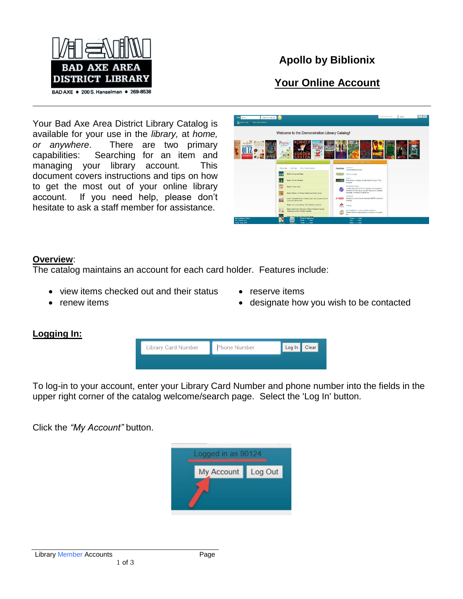

# **Apollo by Biblionix**

# **Your Online Account**

Your Bad Axe Area District Library Catalog is available for your use in the *library,* at *home, or anywhere*. There are two primary capabilities: Searching for an item and managing your library account. This document covers instructions and tips on how to get the most out of your online library account. If you need help, please don't hesitate to ask a staff member for assistance.



## **Overview**:

The catalog maintains an account for each card holder. Features include:

- view items checked out and their status
- renew items
- reserve items
- designate how you wish to be contacted

# **Logging In:**



To log-in to your account, enter your Library Card Number and phone number into the fields in the upper right corner of the catalog welcome/search page. Select the 'Log In' button.

Click the *"My Account"* button.

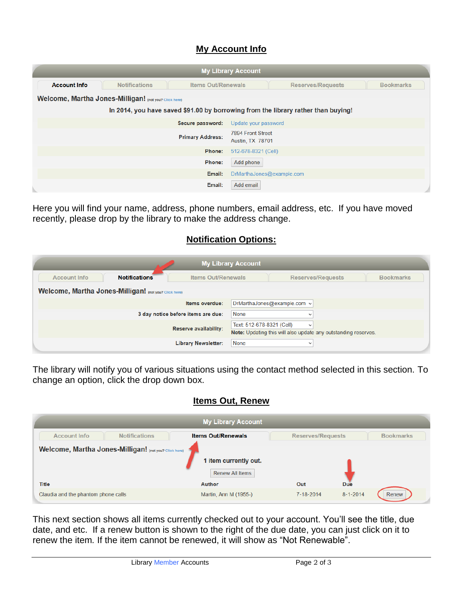## **My Account Info**

| <b>My Library Account</b>                                                         |                      |                           |                                       |                          |                  |  |  |  |  |
|-----------------------------------------------------------------------------------|----------------------|---------------------------|---------------------------------------|--------------------------|------------------|--|--|--|--|
| <b>Account Info</b>                                                               | <b>Notifications</b> | <b>Items Out/Renewals</b> |                                       | <b>Reserves/Requests</b> | <b>Bookmarks</b> |  |  |  |  |
| Welcome, Martha Jones-Milligan! (not you? Click here)                             |                      |                           |                                       |                          |                  |  |  |  |  |
| In 2014, you have saved \$91.00 by borrowing from the library rather than buying! |                      |                           |                                       |                          |                  |  |  |  |  |
|                                                                                   |                      | Secure password:          | Update your password                  |                          |                  |  |  |  |  |
|                                                                                   |                      | <b>Primary Address:</b>   | 7894 Front Street<br>Austin, TX 78701 |                          |                  |  |  |  |  |
|                                                                                   |                      | Phone:                    | 512-678-8321 (Cell)                   |                          |                  |  |  |  |  |
|                                                                                   |                      | Phone:                    | Add phone                             |                          |                  |  |  |  |  |
|                                                                                   |                      | Email:                    | DrMarthaJones@example.com             |                          |                  |  |  |  |  |
|                                                                                   |                      | Email:                    | Add email                             |                          |                  |  |  |  |  |

Here you will find your name, address, phone numbers, email address, etc. If you have moved recently, please drop by the library to make the address change.

### **Notification Options:**

| <b>My Library Account</b> |                                                       |                                    |                           |                                                                                |                  |  |  |
|---------------------------|-------------------------------------------------------|------------------------------------|---------------------------|--------------------------------------------------------------------------------|------------------|--|--|
| <b>Account Info</b>       | <b>Notifications</b>                                  | <b>Items Out/Renewals</b>          |                           | <b>Reserves/Requests</b>                                                       | <b>Bookmarks</b> |  |  |
|                           | Welcome, Martha Jones-Milligan! (not you? Click here) |                                    |                           |                                                                                |                  |  |  |
|                           |                                                       | Items overdue:                     |                           | DrMarthaJones@example.com v                                                    |                  |  |  |
|                           |                                                       | 3 day notice before items are due: | None                      | $\checkmark$                                                                   |                  |  |  |
|                           |                                                       | Reserve availability:              | Text: 512-678-8321 (Cell) | $\checkmark$<br>Note: Updating this will also update any outstanding reserves. |                  |  |  |
|                           |                                                       | <b>Library Newsletter:</b>         | <b>None</b>               | $\checkmark$                                                                   |                  |  |  |

The library will notify you of various situations using the contact method selected in this section. To change an option, click the drop down box.

#### **Items Out, Renew**

| <b>My Library Account</b>           |                                                       |                           |                          |                |                  |  |  |  |
|-------------------------------------|-------------------------------------------------------|---------------------------|--------------------------|----------------|------------------|--|--|--|
| <b>Account Info</b>                 | <b>Notifications</b>                                  | <b>Items Out/Renewals</b> | <b>Reserves/Requests</b> |                | <b>Bookmarks</b> |  |  |  |
|                                     | Welcome, Martha Jones-Milligan! (not you? Click here) | 1 item currently out.     |                          |                |                  |  |  |  |
|                                     |                                                       | <b>Renew All Items</b>    |                          |                |                  |  |  |  |
| <b>Title</b>                        |                                                       | <b>Author</b>             | Out                      | Due            |                  |  |  |  |
| Claudia and the phantom phone calls |                                                       | Martin, Ann M (1955-)     | 7-18-2014                | $8 - 1 - 2014$ | Renew            |  |  |  |

This next section shows all items currently checked out to your account. You'll see the title, due date, and etc. If a renew button is shown to the right of the due date, you can just click on it to renew the item*.* If the item cannot be renewed, it will show as "Not Renewable".